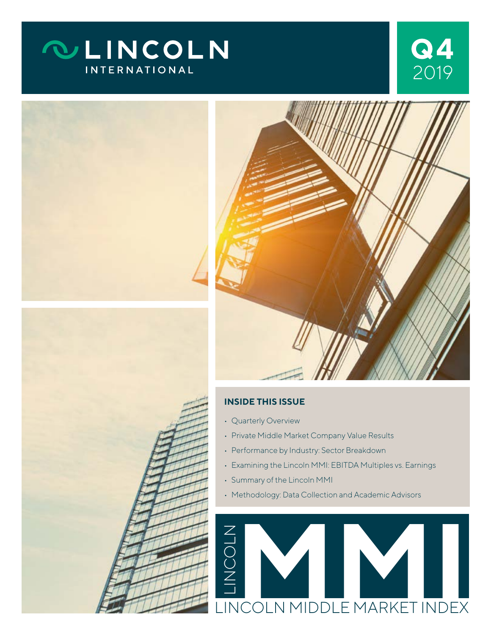# **QLINCOLN INTERNATIONAL**









#### **INSIDE THIS ISSUE**

- Quarterly Overview
- Private Middle Market Company Value Results
- Performance by Industry: Sector Breakdown
- Examining the Lincoln MMI: EBITDA Multiples vs. Earnings
- Summary of the Lincoln MMI
- Methodology: Data Collection and Academic Advisors

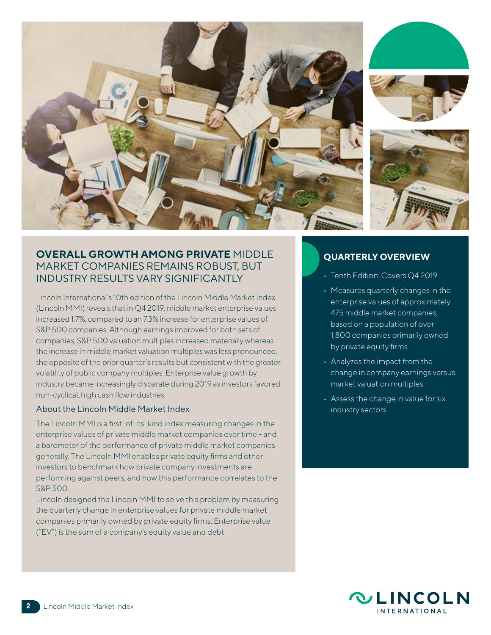

## **OVERALL GROWTH AMONG PRIVATE** MIDDLE MARKET COMPANIES REMAINS ROBUST, BUT INDUSTRY RESULTS VARY SIGNIFICANTLY

Lincoln International's 10th edition of the Lincoln Middle Market Index (Lincoln MMI) reveals that in Q4 2019, middle market enterprise values increased 1.7%, compared to an 7.3% increase for enterprise values of S&P 500 companies. Although earnings improved for both sets of companies, S&P 500 valuation multiples increased materially whereas the increase in middle market valuation multiples was less pronounced, the opposite of the prior quarter's results but consistent with the greater volatility of public company multiples. Enterprise value growth by industry became increasingly disparate during 2019 as investors favored non-cyclical, high cash flow industries

#### About the Lincoln Middle Market Index

The Lincoln MMI is a first-of-its-kind index measuring changes in the enterprise values of private middle market companies over time - and a barometer of the performance of private middle market companies generally. The Lincoln MMI enables private equity firms and other investors to benchmark how private company investments are performing against peers, and how this performance correlates to the S&P 500.

Lincoln designed the Lincoln MMI to solve this problem by measuring the quarterly change in enterprise values for private middle market companies primarily owned by private equity firms. Enterprise value ("EV") is the sum of a company's equity value and debt

#### **QUARTERLY OVERVIEW**

- Tenth Edition: Covers Q4 2019
- Measures quarterly changes in the enterprise values of approximately 475 middle market companies, based on a population of over 1,800 companies primarily owned by private equity firms
- Analyzes the impact from the change in company earnings versus market valuation multiples
- Assess the change in value for six industry sectors

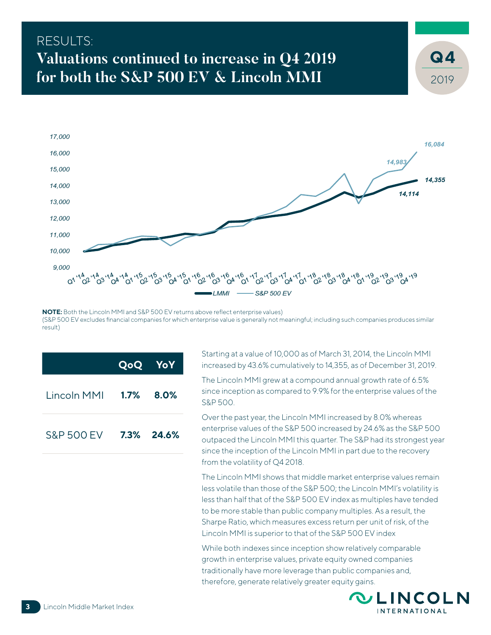# RESULTS: **Valuations continued to increase in Q4 2019 for both the S&P 500 EV & Lincoln MMI**



**NOTE:** Both the Lincoln MMI and S&P 500 EV returns above reflect enterprise values) (S&P 500 EV excludes financial companies for which enterprise value is generally not meaningful; including such companies produces similar result)

|                       |              | <b>QoQ YoY</b> |
|-----------------------|--------------|----------------|
| Lincoln MMI           | $1.7\%$ 8.0% |                |
| <b>S&amp;P 500 EV</b> |              | 7.3% 24.6%     |

Starting at a value of 10,000 as of March 31, 2014, the Lincoln MMI increased by 43.6% cumulatively to 14,355, as of December 31, 2019.

The Lincoln MMI grew at a compound annual growth rate of 6.5% since inception as compared to 9.9% for the enterprise values of the S&P 500.

Over the past year, the Lincoln MMI increased by 8.0% whereas enterprise values of the S&P 500 increased by 24.6% as the S&P 500 outpaced the Lincoln MMI this quarter. The S&P had its strongest year since the inception of the Lincoln MMI in part due to the recovery from the volatility of Q4 2018.

The Lincoln MMI shows that middle market enterprise values remain less volatile than those of the S&P 500; the Lincoln MMI's volatility is less than half that of the S&P 500 EV index as multiples have tended to be more stable than public company multiples. As a result, the Sharpe Ratio, which measures excess return per unit of risk, of the Lincoln MMI is superior to that of the S&P 500 EV index

While both indexes since inception show relatively comparable growth in enterprise values, private equity owned companies traditionally have more leverage than public companies and, therefore, generate relatively greater equity gains.



2019

**4**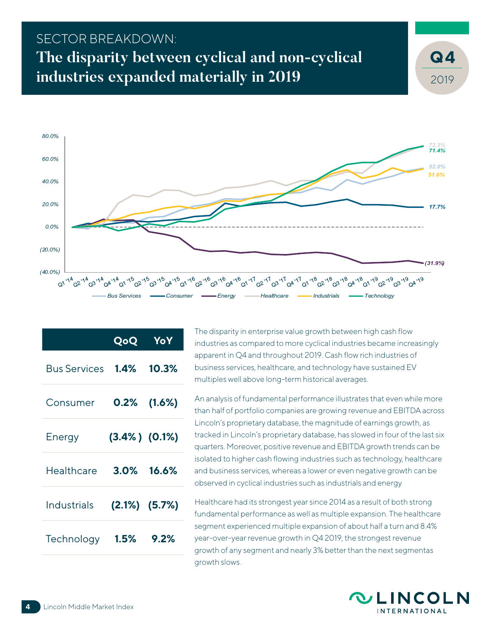# SECTOR BREAKDOWN: **The disparity between cyclical and non-cyclical industries expanded materially in 2019**



|              | QoQ                 | YoY            |
|--------------|---------------------|----------------|
| Bus Services | $1.4\%$             | 10.3%          |
| Consumer     |                     | $0.2\%$ (1.6%) |
| Energy       | $(3.4\%) (0.1\%)$   |                |
| Healthcare   |                     | $3.0\%$ 16.6%  |
| Industrials  | $(2.1\%)$ $(5.7\%)$ |                |
| Technology   | 1.5%                | 9.2%           |

The disparity in enterprise value growth between high cash flow industries as compared to more cyclical industries became increasingly apparent in Q4 and throughout 2019. Cash flow rich industries of business services, healthcare, and technology have sustained EV multiples well above long-term historical averages.

An analysis of fundamental performance illustrates that even while more than half of portfolio companies are growing revenue and EBITDA across Lincoln's proprietary database, the magnitude of earnings growth, as tracked in Lincoln's proprietary database, has slowed in four of the last six quarters. Moreover, positive revenue and EBITDA growth trends can be isolated to higher cash flowing industries such as technology, healthcare and business services, whereas a lower or even negative growth can be observed in cyclical industries such as industrials and energy

Healthcare had its strongest year since 2014 as a result of both strong fundamental performance as well as multiple expansion. The healthcare segment experienced multiple expansion of about half a turn and 8.4% year-over-year revenue growth in Q4 2019, the strongest revenue growth of any segment and nearly 3% better than the next segmentas growth slows.



2019

**4**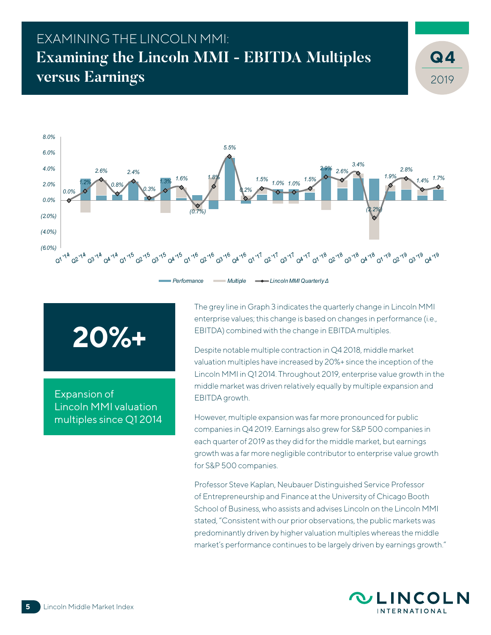# EXAMINING THE LINCOLN MMI: **Examining the Lincoln MMI - EBITDA Multiples versus Earnings**



# **20%+**

Expansion of Lincoln MMI valuation multiples since Q1 2014 The grey line in Graph 3 indicates the quarterly change in Lincoln MMI enterprise values; this change is based on changes in performance (i.e., EBITDA) combined with the change in EBITDA multiples.

Despite notable multiple contraction in Q4 2018, middle market valuation multiples have increased by 20%+ since the inception of the Lincoln MMI in Q1 2014. Throughout 2019, enterprise value growth in the middle market was driven relatively equally by multiple expansion and EBITDA growth.

However, multiple expansion was far more pronounced for public companies in Q4 2019. Earnings also grew for S&P 500 companies in each quarter of 2019 as they did for the middle market, but earnings growth was a far more negligible contributor to enterprise value growth for S&P 500 companies.

Professor Steve Kaplan, Neubauer Distinguished Service Professor of Entrepreneurship and Finance at the University of Chicago Booth School of Business, who assists and advises Lincoln on the Lincoln MMI stated, "Consistent with our prior observations, the public markets was predominantly driven by higher valuation multiples whereas the middle market's performance continues to be largely driven by earnings growth."



2019

**4**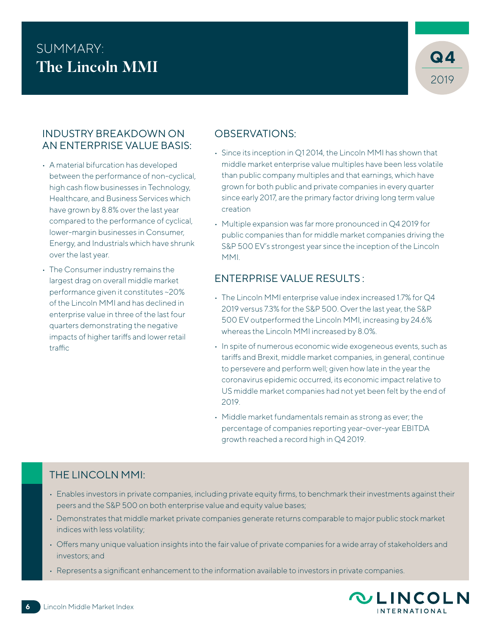# SUMMARY:<br>The Lineals MML **The Lincoln MMI**



#### INDUSTRY BREAKDOWN ON AN ENTERPRISE VALUE BASIS:

- A material bifurcation has developed between the performance of non-cyclical, high cash flow businesses in Technology, Healthcare, and Business Services which have grown by 8.8% over the last year compared to the performance of cyclical, lower-margin businesses in Consumer, Energy, and Industrials which have shrunk over the last year.
- The Consumer industry remains the largest drag on overall middle market performance given it constitutes ~20% of the Lincoln MMI and has declined in enterprise value in three of the last four quarters demonstrating the negative impacts of higher tariffs and lower retail traffic

## OBSERVATIONS:

- Since its inception in Q1 2014, the Lincoln MMI has shown that middle market enterprise value multiples have been less volatile than public company multiples and that earnings, which have grown for both public and private companies in every quarter since early 2017, are the primary factor driving long term value creation
- Multiple expansion was far more pronounced in Q4 2019 for public companies than for middle market companies driving the S&P 500 EV's strongest year since the inception of the Lincoln MMI.

## ENTERPRISE VALUE RESULTS :

- The Lincoln MMI enterprise value index increased 1.7% for Q4 2019 versus 7.3% for the S&P 500. Over the last year, the S&P 500 EV outperformed the Lincoln MMI, increasing by 24.6% whereas the Lincoln MMI increased by 8.0%.
- In spite of numerous economic wide exogeneous events, such as tariffs and Brexit, middle market companies, in general, continue to persevere and perform well; given how late in the year the coronavirus epidemic occurred, its economic impact relative to US middle market companies had not yet been felt by the end of 2019.
- Middle market fundamentals remain as strong as ever; the percentage of companies reporting year-over-year EBITDA growth reached a record high in Q4 2019.

## THE LINCOLN MMI:

- Enables investors in private companies, including private equity firms, to benchmark their investments against their peers and the S&P 500 on both enterprise value and equity value bases;
- Demonstrates that middle market private companies generate returns comparable to major public stock market indices with less volatility;
- Offers many unique valuation insights into the fair value of private companies for a wide array of stakeholders and investors; and
- Represents a significant enhancement to the information available to investors in private companies.

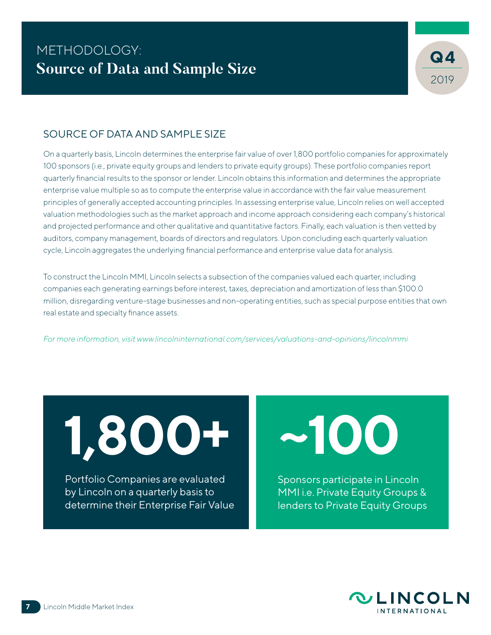

### SOURCE OF DATA AND SAMPLE SIZE

On a quarterly basis, Lincoln determines the enterprise fair value of over 1,800 portfolio companies for approximately 100 sponsors (i.e., private equity groups and lenders to private equity groups). These portfolio companies report quarterly financial results to the sponsor or lender. Lincoln obtains this information and determines the appropriate enterprise value multiple so as to compute the enterprise value in accordance with the fair value measurement principles of generally accepted accounting principles. In assessing enterprise value, Lincoln relies on well accepted valuation methodologies such as the market approach and income approach considering each company's historical and projected performance and other qualitative and quantitative factors. Finally, each valuation is then vetted by auditors, company management, boards of directors and regulators. Upon concluding each quarterly valuation cycle, Lincoln aggregates the underlying financial performance and enterprise value data for analysis.

To construct the Lincoln MMI, Lincoln selects a subsection of the companies valued each quarter, including companies each generating earnings before interest, taxes, depreciation and amortization of less than \$100.0 million, disregarding venture-stage businesses and non-operating entities, such as special purpose entities that own real estate and specialty finance assets.

*For more information, visit [www.lincolninternational.com/services/valuations-and-opinions/lincolnmmi](http://www.lincolninternational.com/services/valuations-and-opinions/lincolnmmi
)*

**1,800+**

Portfolio Companies are evaluated by Lincoln on a quarterly basis to determine their Enterprise Fair Value **~100**

Sponsors participate in Lincoln MMI i.e. Private Equity Groups & lenders to Private Equity Groups

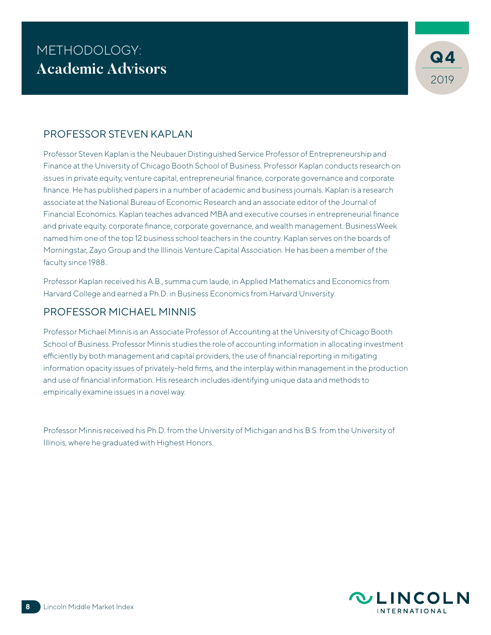

## PROFESSOR STEVEN KAPLAN

Professor Steven Kaplan is the Neubauer Distinguished Service Professor of Entrepreneurship and Finance at the University of Chicago Booth School of Business. Professor Kaplan conducts research on issues in private equity, venture capital, entrepreneurial finance, corporate governance and corporate finance. He has published papers in a number of academic and business journals. Kaplan is a research associate at the National Bureau of Economic Research and an associate editor of the Journal of Financial Economics. Kaplan teaches advanced MBA and executive courses in entrepreneurial finance and private equity, corporate finance, corporate governance, and wealth management. BusinessWeek named him one of the top 12 business school teachers in the country. Kaplan serves on the boards of Morningstar, Zayo Group and the Illinois Venture Capital Association. He has been a member of the faculty since 1988..

Professor Kaplan received his A.B., summa cum laude, in Applied Mathematics and Economics from Harvard College and earned a Ph.D. in Business Economics from Harvard University.

#### PROFESSOR MICHAEL MINNIS

Professor Michael Minnis is an Associate Professor of Accounting at the University of Chicago Booth School of Business. Professor Minnis studies the role of accounting information in allocating investment efficiently by both management and capital providers, the use of financial reporting in mitigating information opacity issues of privately-held firms, and the interplay within management in the production and use of financial information. His research includes identifying unique data and methods to empirically examine issues in a novel way.

Professor Minnis received his Ph.D. from the University of Michigan and his B.S. from the University of Illinois, where he graduated with Highest Honors.